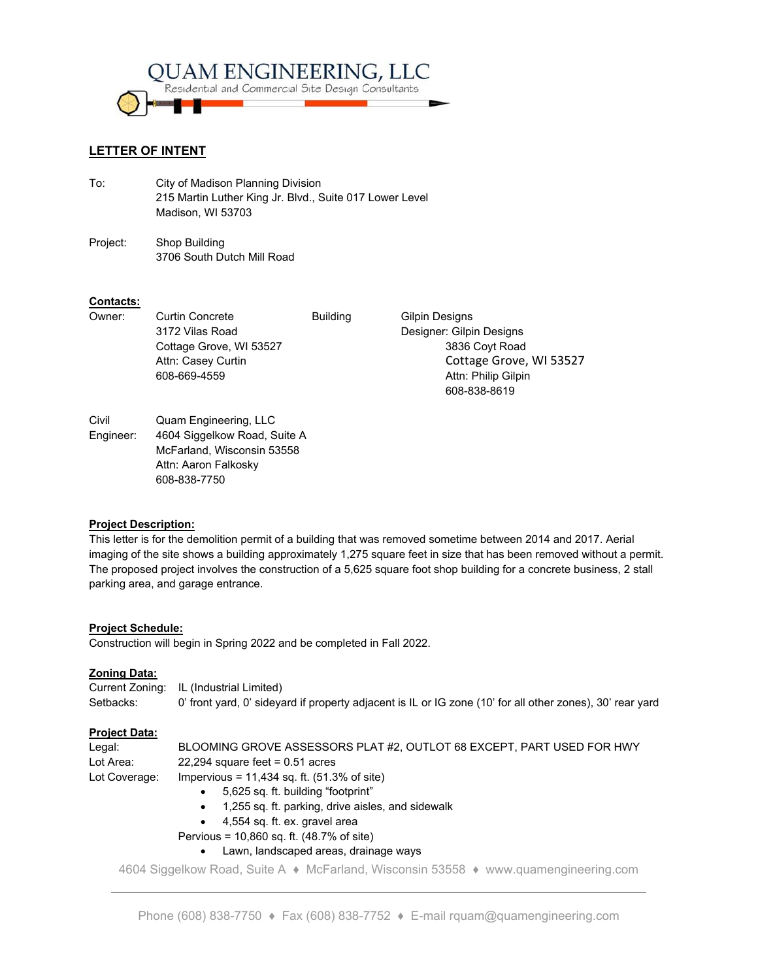

# **LETTER OF INTENT**

- To: City of Madison Planning Division 215 Martin Luther King Jr. Blvd., Suite 017 Lower Level Madison, WI 53703
- Project: Shop Building 3706 South Dutch Mill Road

608-838-7750

# **Contacts:**

| Owner:    | <b>Curtin Concrete</b>       | <b>Building</b> | Gilpin Designs           |
|-----------|------------------------------|-----------------|--------------------------|
|           | 3172 Vilas Road              |                 | Designer: Gilpin Designs |
|           | Cottage Grove, WI 53527      |                 | 3836 Coyt Road           |
|           | Attn: Casey Curtin           |                 | Cottage Grove, WI 53527  |
|           | 608-669-4559                 |                 | Attn: Philip Gilpin      |
|           |                              |                 | 608-838-8619             |
| Civil     | Quam Engineering, LLC        |                 |                          |
| Engineer: | 4604 Siggelkow Road, Suite A |                 |                          |
|           | McFarland, Wisconsin 53558   |                 |                          |
|           | Attn: Aaron Falkosky         |                 |                          |

## **Project Description:**

This letter is for the demolition permit of a building that was removed sometime between 2014 and 2017. Aerial imaging of the site shows a building approximately 1,275 square feet in size that has been removed without a permit. The proposed project involves the construction of a 5,625 square foot shop building for a concrete business, 2 stall parking area, and garage entrance.

## **Project Schedule:**

Construction will begin in Spring 2022 and be completed in Fall 2022.

## **Zoning Data:**

|           | Current Zoning: IL (Industrial Limited)                                                                   |
|-----------|-----------------------------------------------------------------------------------------------------------|
| Setbacks: | 0' front yard, 0' sideyard if property adjacent is IL or IG zone (10' for all other zones), 30' rear yard |

## **Project Data:**

| Legal:        | BLOOMING GROVE ASSESSORS PLAT #2, OUTLOT 68 EXCEPT, PART USED FOR HWY |
|---------------|-----------------------------------------------------------------------|
| Lot Area:     | $22,294$ square feet = 0.51 acres                                     |
| Lot Coverage: | Impervious = 11,434 sq. ft. $(51.3\% \text{ of site})$                |

- 5,625 sq. ft. building "footprint"
- 1,255 sq. ft. parking, drive aisles, and sidewalk
- 4,554 sq. ft. ex. gravel area
- Pervious = 10,860 sq. ft. (48.7% of site)
	- Lawn, landscaped areas, drainage ways

4604 Siggelkow Road, Suite A ♦ McFarland, Wisconsin 53558 ♦ www.quamengineering.com